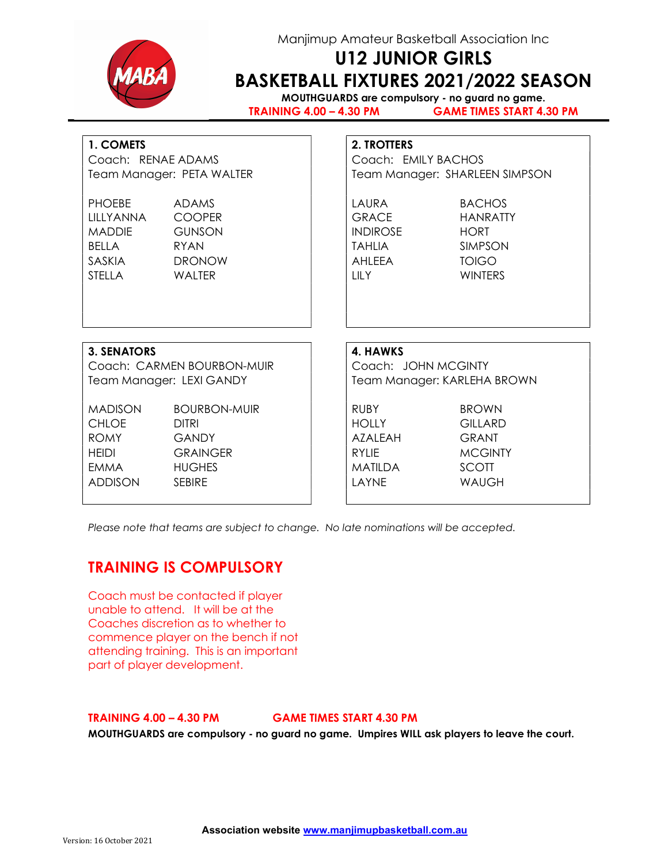

## Manjimup Amateur Basketball Association Inc

# U12 JUNIOR GIRLS BASKETBALL FIXTURES 2021/2022 SEASON

MOUTHGUARDS are compulsory - no guard no game. TRAINING 4.00 – 4.30 PM GAME TIMES START 4.30 PM

## 1. COMETS 2. TROTTERS

| Coach: RENAE ADAMS |                           |  |
|--------------------|---------------------------|--|
|                    | Team Manager: PETA WALTER |  |

| <b>PHOFRE</b>    | <b>ADAMS</b>  | LAURA           | <b>BACHOS</b>  |
|------------------|---------------|-----------------|----------------|
| <u>TILLYANNA</u> | <b>COOPER</b> | <b>GRACE</b>    | HANRATTY       |
| MADDIE           | <b>GUNSON</b> | <b>INDIROSE</b> | <b>HORT</b>    |
| <b>BFILA</b>     | RYAN          | TAHLIA          | <b>SIMPSON</b> |
| SASKIA           | <b>DRONOW</b> | AHI FFA         | TOIGO.         |
| <b>STELLA</b>    | WAI TFR-      | TILY            | <b>WINTERS</b> |

Coach: EMILY BACHOS Team Manager: SHARLEEN SIMPSON

### 3. SENATORS 4. HAWKS

Coach: CARMEN BOURBON-MUIR | Coach: JOHN MCGINTY Team Manager: LEXI GANDY Team Manager: KARLEHA BROWN

MADISON BOURBON-MUIR | RUBY BROWN CHLOE DITRI HOLLY GILLARD ROMY GANDY | AZALEAH GRANT HEIDI GRAINGER RYLIE MCGINTY EMMA HUGHES NOW HUGHES NOTIFIED A SCOTT ADDISON SEBIRE | LAYNE WAUGH

Please note that teams are subject to change. No late nominations will be accepted.

# TRAINING IS COMPULSORY

Coach must be contacted if player unable to attend. It will be at the Coaches discretion as to whether to commence player on the bench if not attending training. This is an important part of player development.

#### TRAINING 4.00 – 4.30 PM GAME TIMES START 4.30 PM

MOUTHGUARDS are compulsory - no guard no game. Umpires WILL ask players to leave the court.